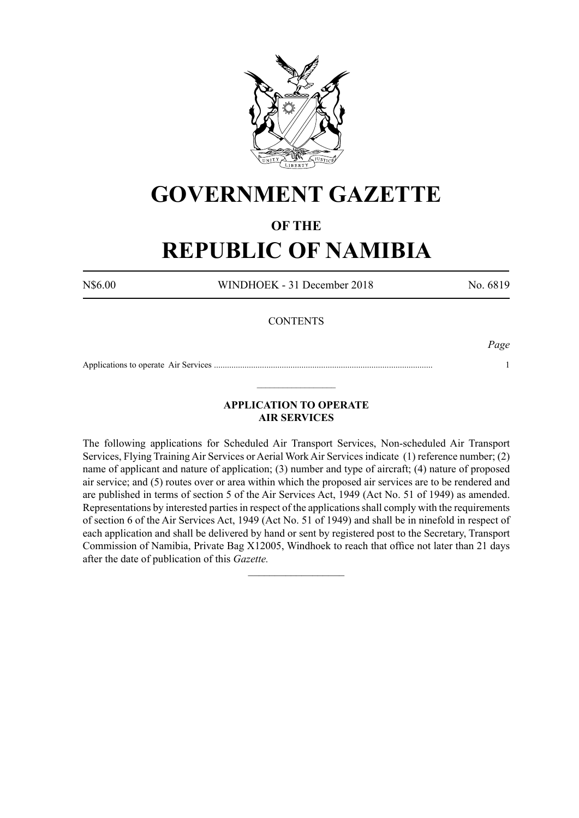

# **GOVERNMENT GAZETTE**

### **OF THE**

# **REPUBLIC OF NAMIBIA**

N\$6.00 WINDHOEK - 31 December 2018 No. 6819

#### **CONTENTS**

*Page*

Applications to operate Air Services .................................................................................................... 1  $\_$ 

#### **APPLICATION TO OPERATE AIR SERVICES**

The following applications for Scheduled Air Transport Services, Non-scheduled Air Transport Services, Flying Training Air Services or Aerial Work Air Services indicate (1) reference number; (2) name of applicant and nature of application; (3) number and type of aircraft; (4) nature of proposed air service; and (5) routes over or area within which the proposed air services are to be rendered and are published in terms of section 5 of the Air Services Act, 1949 (Act No. 51 of 1949) as amended. Representations by interested parties in respect of the applications shall comply with the requirements of section 6 of the Air Services Act, 1949 (Act No. 51 of 1949) and shall be in ninefold in respect of each application and shall be delivered by hand or sent by registered post to the Secretary, Transport Commission of Namibia, Private Bag X12005, Windhoek to reach that office not later than 21 days after the date of publication of this *Gazette.*

 $\frac{1}{2}$  ,  $\frac{1}{2}$  ,  $\frac{1}{2}$  ,  $\frac{1}{2}$  ,  $\frac{1}{2}$  ,  $\frac{1}{2}$  ,  $\frac{1}{2}$  ,  $\frac{1}{2}$  ,  $\frac{1}{2}$  ,  $\frac{1}{2}$  ,  $\frac{1}{2}$